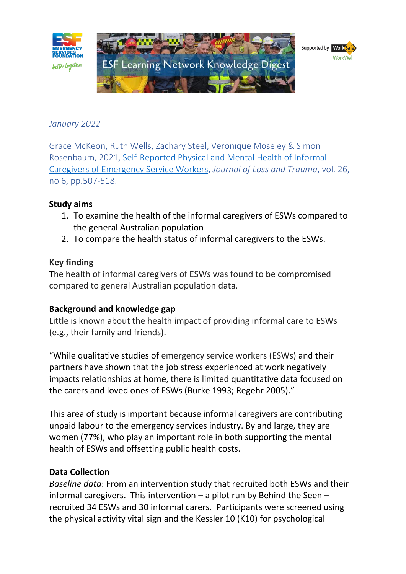

# *January 2022*

Grace McKeon, Ruth Wells, Zachary Steel, Veronique Moseley & Simon Rosenbaum, 2021, [Self-Reported Physical and Mental Health of Informal](https://esf.com.au/wp-content/uploads/2022/01/Self-Reported-Physical-and-Mental-Health-of-Informal-Caregivers-of-Emergency-Service-Workers.pdf)  [Caregivers of Emergency Service Workers,](https://esf.com.au/wp-content/uploads/2022/01/Self-Reported-Physical-and-Mental-Health-of-Informal-Caregivers-of-Emergency-Service-Workers.pdf) *Journal of Loss and Trauma*, vol. 26, no 6, pp.507-518.

### **Study aims**

- 1. To examine the health of the informal caregivers of ESWs compared to the general Australian population
- 2. To compare the health status of informal caregivers to the ESWs.

#### **Key finding**

The health of informal caregivers of ESWs was found to be compromised compared to general Australian population data.

#### **Background and knowledge gap**

Little is known about the health impact of providing informal care to ESWs (e.g., their family and friends).

"While qualitative studies of emergency service workers (ESWs) and their partners have shown that the job stress experienced at work negatively impacts relationships at home, there is limited quantitative data focused on the carers and loved ones of ESWs (Burke 1993; Regehr 2005)."

This area of study is important because informal caregivers are contributing unpaid labour to the emergency services industry. By and large, they are women (77%), who play an important role in both supporting the mental health of ESWs and offsetting public health costs.

#### **Data Collection**

*Baseline data*: From an intervention study that recruited both ESWs and their informal caregivers. This intervention  $-$  a pilot run by Behind the Seen  $$ recruited 34 ESWs and 30 informal carers. Participants were screened using the physical activity vital sign and the Kessler 10 (K10) for psychological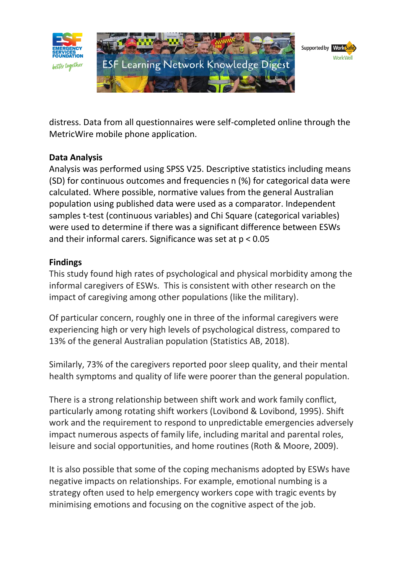

distress. Data from all questionnaires were self-completed online through the MetricWire mobile phone application.

# **Data Analysis**

Analysis was performed using SPSS V25. Descriptive statistics including means (SD) for continuous outcomes and frequencies n (%) for categorical data were calculated. Where possible, normative values from the general Australian population using published data were used as a comparator. Independent samples t-test (continuous variables) and Chi Square (categorical variables) were used to determine if there was a significant difference between ESWs and their informal carers. Significance was set at p < 0.05

## **Findings**

This study found high rates of psychological and physical morbidity among the informal caregivers of ESWs. This is consistent with other research on the impact of caregiving among other populations (like the military).

Of particular concern, roughly one in three of the informal caregivers were experiencing high or very high levels of psychological distress, compared to 13% of the general Australian population (Statistics AB, 2018).

Similarly, 73% of the caregivers reported poor sleep quality, and their mental health symptoms and quality of life were poorer than the general population.

There is a strong relationship between shift work and work family conflict, particularly among rotating shift workers (Lovibond & Lovibond, 1995). Shift work and the requirement to respond to unpredictable emergencies adversely impact numerous aspects of family life, including marital and parental roles, leisure and social opportunities, and home routines (Roth & Moore, 2009).

It is also possible that some of the coping mechanisms adopted by ESWs have negative impacts on relationships. For example, emotional numbing is a strategy often used to help emergency workers cope with tragic events by minimising emotions and focusing on the cognitive aspect of the job.